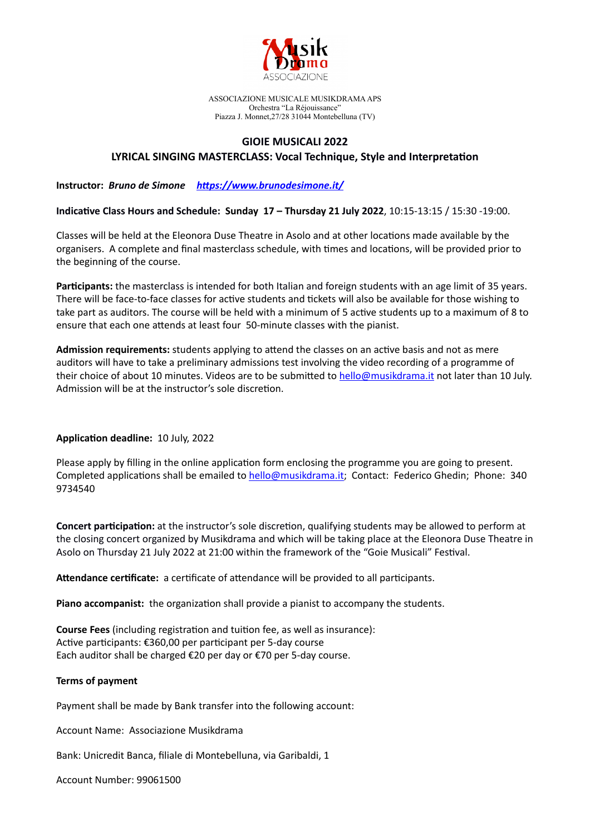

ASSOCIAZIONE MUSICALE MUSIKDRAMA APS Orchestra "La Réjouissance" Piazza J. Monnet,27/28 31044 Montebelluna (TV)

## **GIOIE MUSICALI 2022**

## **LYRICAL SINGING MASTERCLASS: Vocal Technique, Style and Interpretation**

**Instructor:** *Bruno de Simone <https://www.brunodesimone.it/>*

**Indicative Class Hours and Schedule: Sunday 17 – Thursday 21 July 2022**, 10:15-13:15 / 15:30 -19:00.

Classes will be held at the Eleonora Duse Theatre in Asolo and at other locations made available by the organisers. A complete and final masterclass schedule, with times and locations, will be provided prior to the beginning of the course.

**Participants:** the masterclass is intended for both Italian and foreign students with an age limit of 35 years. There will be face-to-face classes for active students and tickets will also be available for those wishing to take part as auditors. The course will be held with a minimum of 5 active students up to a maximum of 8 to ensure that each one attends at least four 50-minute classes with the pianist.

**Admission requirements:** students applying to attend the classes on an active basis and not as mere auditors will have to take a preliminary admissions test involving the video recording of a programme of their choice of about 10 minutes. Videos are to be submitted to [hello@musikdrama.it](mailto:hello@musikdrama.it) not later than 10 July. Admission will be at the instructor's sole discretion.

## **Application deadline:** 10 July, 2022

Please apply by filling in the online application form enclosing the programme you are going to present. Completed applications shall be emailed to [hello@musikdrama.it;](mailto:hello@musikdrama.it) Contact: Federico Ghedin; Phone: 340 9734540

**Concert participation:** at the instructor's sole discretion, qualifying students may be allowed to perform at the closing concert organized by Musikdrama and which will be taking place at the Eleonora Duse Theatre in Asolo on Thursday 21 July 2022 at 21:00 within the framework of the "Goie Musicali" Festival.

**Attendance certificate:** a certificate of attendance will be provided to all participants.

**Piano accompanist:** the organization shall provide a pianist to accompany the students.

**Course Fees** (including registration and tuition fee, as well as insurance): Active participants: €360,00 per participant per 5-day course Each auditor shall be charged €20 per day or €70 per 5-day course.

## **Terms of payment**

Payment shall be made by Bank transfer into the following account:

Account Name: Associazione Musikdrama

Bank: Unicredit Banca, filiale di Montebelluna, via Garibaldi, 1

Account Number: 99061500